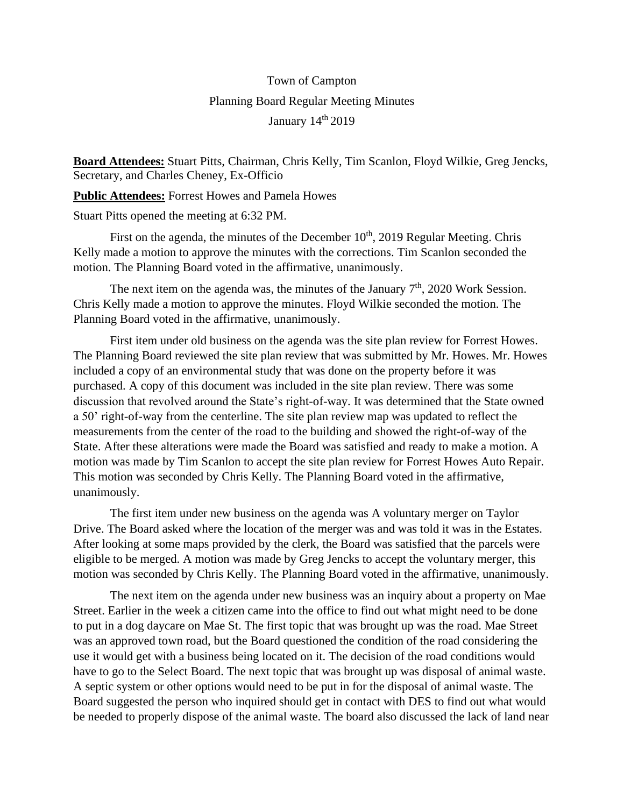## Town of Campton Planning Board Regular Meeting Minutes January 14<sup>th</sup> 2019

**Board Attendees:** Stuart Pitts, Chairman, Chris Kelly, Tim Scanlon, Floyd Wilkie, Greg Jencks, Secretary, and Charles Cheney, Ex-Officio

**Public Attendees:** Forrest Howes and Pamela Howes

Stuart Pitts opened the meeting at 6:32 PM.

First on the agenda, the minutes of the December  $10<sup>th</sup>$ , 2019 Regular Meeting. Chris Kelly made a motion to approve the minutes with the corrections. Tim Scanlon seconded the motion. The Planning Board voted in the affirmative, unanimously.

The next item on the agenda was, the minutes of the January  $7<sup>th</sup>$ , 2020 Work Session. Chris Kelly made a motion to approve the minutes. Floyd Wilkie seconded the motion. The Planning Board voted in the affirmative, unanimously.

First item under old business on the agenda was the site plan review for Forrest Howes. The Planning Board reviewed the site plan review that was submitted by Mr. Howes. Mr. Howes included a copy of an environmental study that was done on the property before it was purchased. A copy of this document was included in the site plan review. There was some discussion that revolved around the State's right-of-way. It was determined that the State owned a 50' right-of-way from the centerline. The site plan review map was updated to reflect the measurements from the center of the road to the building and showed the right-of-way of the State. After these alterations were made the Board was satisfied and ready to make a motion. A motion was made by Tim Scanlon to accept the site plan review for Forrest Howes Auto Repair. This motion was seconded by Chris Kelly. The Planning Board voted in the affirmative, unanimously.

The first item under new business on the agenda was A voluntary merger on Taylor Drive. The Board asked where the location of the merger was and was told it was in the Estates. After looking at some maps provided by the clerk, the Board was satisfied that the parcels were eligible to be merged. A motion was made by Greg Jencks to accept the voluntary merger, this motion was seconded by Chris Kelly. The Planning Board voted in the affirmative, unanimously.

The next item on the agenda under new business was an inquiry about a property on Mae Street. Earlier in the week a citizen came into the office to find out what might need to be done to put in a dog daycare on Mae St. The first topic that was brought up was the road. Mae Street was an approved town road, but the Board questioned the condition of the road considering the use it would get with a business being located on it. The decision of the road conditions would have to go to the Select Board. The next topic that was brought up was disposal of animal waste. A septic system or other options would need to be put in for the disposal of animal waste. The Board suggested the person who inquired should get in contact with DES to find out what would be needed to properly dispose of the animal waste. The board also discussed the lack of land near